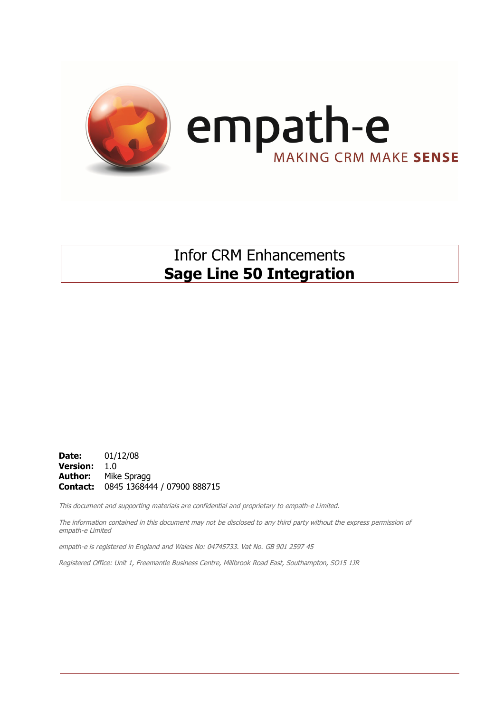

## Infor CRM Enhancements **Sage Line 50 Integration**

**Date:** 01/12/08 **Version:** 1.0 **Author:** Mike Spragg **Contact:** 0845 1368444 / 07900 888715

This document and supporting materials are confidential and proprietary to empath-e Limited.

The information contained in this document may not be disclosed to any third party without the express permission of empath-e Limited

empath-e is registered in England and Wales No: 04745733. Vat No. GB 901 2597 45

Registered Office: Unit 1, Freemantle Business Centre, Millbrook Road East, Southampton, SO15 1JR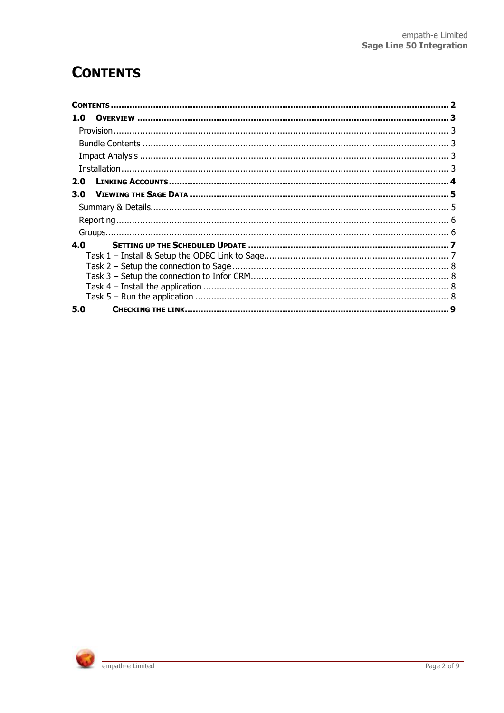# **CONTENTS**

| 1.0 |   |
|-----|---|
|     |   |
|     |   |
|     |   |
|     |   |
| 2.0 |   |
| 3.0 |   |
|     |   |
|     |   |
|     |   |
| 4.0 |   |
|     |   |
|     |   |
|     |   |
|     |   |
|     |   |
| 5.0 | 9 |

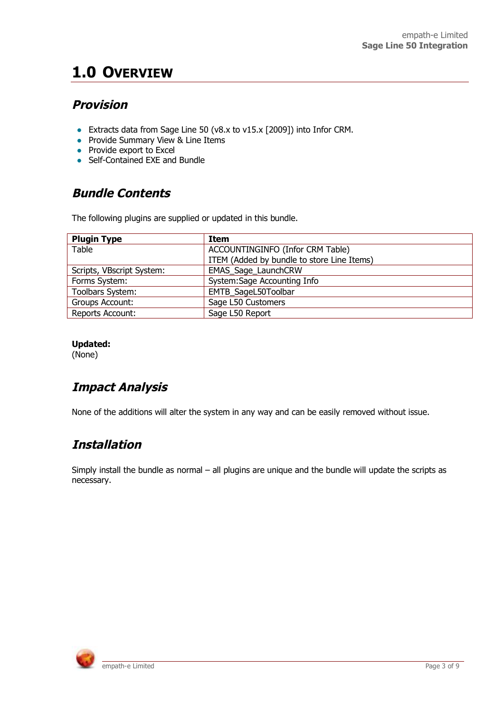# **1.0 OVERVIEW**

### **Provision**

- Extracts data from Sage Line 50 (v8.x to v15.x [2009]) into Infor CRM.
- Provide Summary View & Line Items
- $\bullet$  Provide export to Excel
- Self-Contained EXE and Bundle

## **Bundle Contents**

The following plugins are supplied or updated in this bundle.

| <b>Plugin Type</b>        | Item                                       |
|---------------------------|--------------------------------------------|
| Table                     | ACCOUNTINGINFO (Infor CRM Table)           |
|                           | ITEM (Added by bundle to store Line Items) |
| Scripts, VBscript System: | EMAS_Sage_LaunchCRW                        |
| Forms System:             | System: Sage Accounting Info               |
| Toolbars System:          | EMTB_SageL50Toolbar                        |
| Groups Account:           | Sage L50 Customers                         |
| Reports Account:          | Sage L50 Report                            |

#### **Updated:**

(None)

## **Impact Analysis**

None of the additions will alter the system in any way and can be easily removed without issue.

## **Installation**

Simply install the bundle as normal – all plugins are unique and the bundle will update the scripts as necessary.

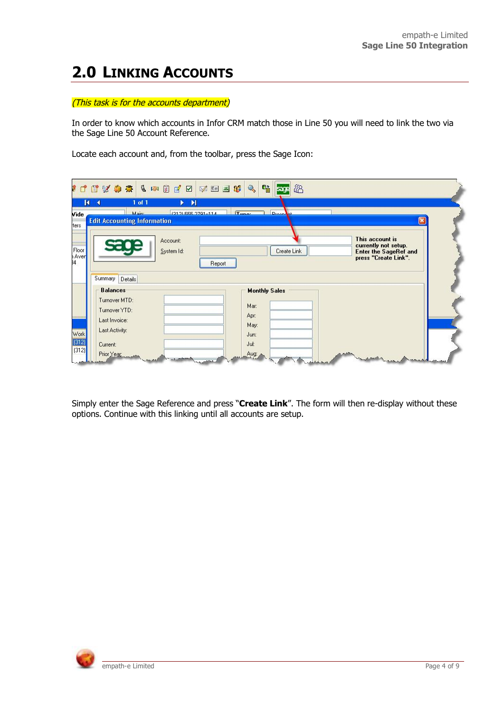# **2.0 LINKING ACCOUNTS**

#### (This task is for the accounts department)

In order to know which accounts in Infor CRM match those in Line 50 you will need to link the two via the Sage Line 50 Account Reference.

Locate each account and, from the toolbar, press the Sage Icon:

|                        | $1000000000000$<br>※ 国 国 郎                                                                       | $Q_{\rm S}$<br>喵<br>48<br>Isacel     |                                                                                                 |
|------------------------|--------------------------------------------------------------------------------------------------|--------------------------------------|-------------------------------------------------------------------------------------------------|
| Vide                   | $1$ of $1$<br>$\blacktriangleright$<br>и<br>$\blacktriangleright$<br>Main:<br>(212) EEE 2791-114 | $T_{max}$<br><b>Drooms</b>           |                                                                                                 |
| ters                   | <b>Edit Accounting Information</b>                                                               |                                      | ×                                                                                               |
| Floor<br>Aver<br>ß4    | Account:<br>System Id:<br>Report                                                                 | Create Link                          | This account is<br>currently not setup.<br><b>Enter the SageRef and</b><br>press "Create Link". |
|                        | Summary Details<br><b>Balances</b><br>Turnover MTD:<br>Turnover YTD:<br>Last Invoice:            | <b>Monthly Sales</b><br>Mar:<br>Apr: |                                                                                                 |
| Work<br>(312)<br>(312) | Last Activity:<br>Current:<br>Prior Year<br><b>Called</b>                                        | May:<br>Jun:<br>Jul:<br>Aug:         | <b>Continuously</b>                                                                             |

Simply enter the Sage Reference and press "**Create Link**". The form will then re-display without these options. Continue with this linking until all accounts are setup.

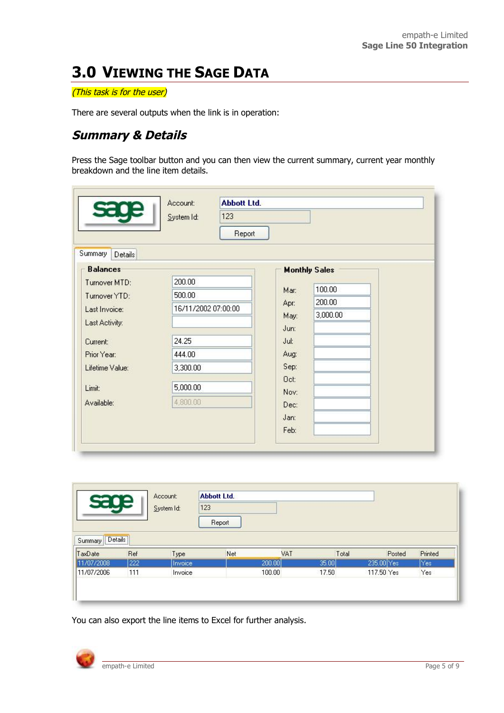# **3.0 VIEWING THE SAGE DATA**

#### (This task is for the user)

There are several outputs when the link is in operation:

### **Summary & Details**

Press the Sage toolbar button and you can then view the current summary, current year monthly breakdown and the line item details.

| sage                                                                                                                                                       | <b>Abbott Ltd.</b><br>Account:<br>123<br>System Id:<br>Report                                  |                                                                                                                                                      |
|------------------------------------------------------------------------------------------------------------------------------------------------------------|------------------------------------------------------------------------------------------------|------------------------------------------------------------------------------------------------------------------------------------------------------|
| Summary<br>Details                                                                                                                                         |                                                                                                |                                                                                                                                                      |
| <b>Balances</b><br>Turnover MTD:<br>Turnover YTD:<br>Last Invoice:<br>Last Activity:<br>Current:<br>Prior Year:<br>Lifetime Value:<br>Limit:<br>Available: | 200.00<br>500.00<br>16/11/2002 07:00:00<br>24.25<br>444.00<br>3,300.00<br>5,000.00<br>4,800.00 | <b>Monthly Sales</b><br>100.00<br>Mar:<br>200.00<br>Apr:<br>3,000.00<br>May:<br>Jun:<br>Jul:<br>Aug:<br>Sep:<br>Oct:<br>Nov:<br>Dec:<br>Jan:<br>Feb: |

| sage                       |     | Account:<br>123<br>System Id: | <b>Abbott Ltd.</b> |        |       |            |         |
|----------------------------|-----|-------------------------------|--------------------|--------|-------|------------|---------|
| $[$ Details $]$<br>Summary |     |                               | Report             |        |       |            |         |
|                            |     |                               |                    |        |       |            |         |
|                            | Ref | Type                          | Net                | VAT    | Total | Posted     | Printed |
| TaxDate<br>11/07/2008      | 222 | Invoice                       |                    | 200.00 | 35.00 | 235.00 Yes | Yes     |

You can also export the line items to Excel for further analysis.

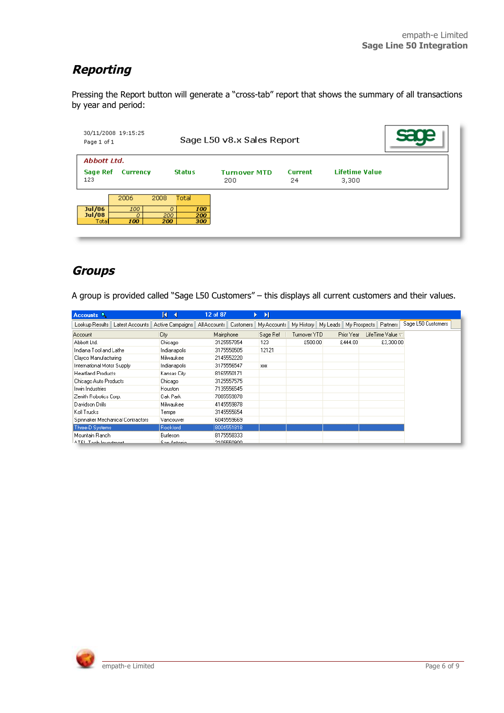## **Reporting**

Pressing the Report button will generate a "cross-tab" report that shows the summary of all transactions by year and period:

| 30/11/2008 19:15:25<br>Page 1 of 1 |                         |                         | Sage L50 v8.x Sales Report |                            |                      |                                |  |
|------------------------------------|-------------------------|-------------------------|----------------------------|----------------------------|----------------------|--------------------------------|--|
| Abbott Ltd.<br>Sage Ref<br>123     | <b>Currency</b>         |                         | <b>Status</b>              | <b>Turnover MTD</b><br>200 | <b>Current</b><br>24 | <b>Lifetime Value</b><br>3,300 |  |
| Jul/06<br>Jul/08<br>Total          | 2006<br>100<br>D<br>100 | 2008<br>0<br>200<br>200 | Total<br>100<br>200<br>300 |                            |                      |                                |  |

### **Groups**

A group is provided called "Sage L50 Customers" – this displays all current customers and their values.

| Accounts <sup>4</sup>            |                 | и<br>$\overline{\phantom{0}}$ | 12 of 87     |                  | ▸ ᢂ         |                     |              |                  |                    |
|----------------------------------|-----------------|-------------------------------|--------------|------------------|-------------|---------------------|--------------|------------------|--------------------|
| Lookup Results                   | Latest Accounts | Active Campaigns              | All Accounts | <b>Customers</b> | My Accounts | My History My Leads | My Prospects | Partners         | Sage L50 Customers |
| <b>Account</b>                   |                 | City                          | Mainphone    |                  | Sage Ref    | Turnover YTD        | Prior Year   | LifeTime Value T |                    |
| Abbott Ltd.                      |                 | Chicago                       |              | 3125557854       | 123         | £500.00             | £444.00      | £3,300.00        |                    |
| Indiana Tool and Lathe           |                 | Indianapolis                  |              | 3175550505       | 12121       |                     |              |                  |                    |
| Clayco Manufacturing             |                 | Milwaukee                     |              | 2145552220       |             |                     |              |                  |                    |
| International Motor Supply       |                 | Indianapolis                  |              | 3175556547       | <b>XXX</b>  |                     |              |                  |                    |
| <b>Heartland Products</b>        |                 | Kansas City                   |              | 8165550171       |             |                     |              |                  |                    |
| Chicago Auto Products            |                 | Chicago                       |              | 3125557575       |             |                     |              |                  |                    |
| Irwin Industries                 |                 | <b>Houston</b>                |              | 7135556545       |             |                     |              |                  |                    |
| Zenith Robotics Corp.            |                 | Oak Park                      |              | 7085559878       |             |                     |              |                  |                    |
| Davidson Drills                  |                 | Milwaukee                     |              | 4145559878       |             |                     |              |                  |                    |
| Koll Trucks                      |                 | Tempe                         |              | 3145555654       |             |                     |              |                  |                    |
| Spinnaker Mechanical Contractors |                 | Vancouver                     |              | 6045559669       |             |                     |              |                  |                    |
| Three-D Systems                  |                 | <b>Rockford</b>               |              | 8004551818       |             |                     |              |                  |                    |
| Mountain Ranch                   |                 | Burleson                      |              | 8175558333       |             |                     |              |                  |                    |
| ATEL Tools Inconstructed         |                 | Com Antonio                   |              | 2105550900       |             |                     |              |                  |                    |

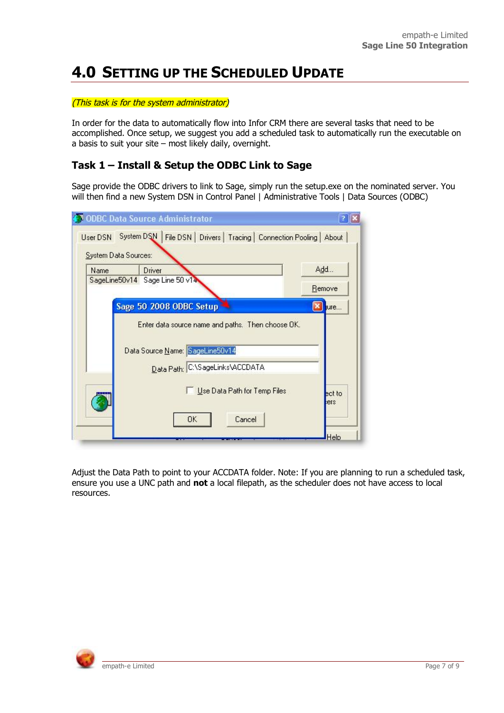# **4.0 SETTING UP THE SCHEDULED UPDATE**

#### (This task is for the system administrator)

In order for the data to automatically flow into Infor CRM there are several tasks that need to be accomplished. Once setup, we suggest you add a scheduled task to automatically run the executable on a basis to suit your site – most likely daily, overnight.

### **Task 1 – Install & Setup the ODBC Link to Sage**

Sage provide the ODBC drivers to link to Sage, simply run the setup.exe on the nominated server. You will then find a new System DSN in Control Panel | Administrative Tools | Data Sources (ODBC)

| Name | Driver                                            | Add                    |
|------|---------------------------------------------------|------------------------|
|      | SageLine50v14 Sage Line 50 v14                    | Remove                 |
|      | Sage 50 2008 ODBC Setup                           | $\vert x \vert$<br>ure |
|      | Enter data source name and paths. Then choose DK. |                        |
|      |                                                   |                        |
|      |                                                   |                        |
|      | Data Source Name: SageLine50v14                   |                        |
|      | Data Path: C:\SageLinks\ACCDATA                   |                        |

Adjust the Data Path to point to your ACCDATA folder. Note: If you are planning to run a scheduled task, ensure you use a UNC path and **not** a local filepath, as the scheduler does not have access to local resources.

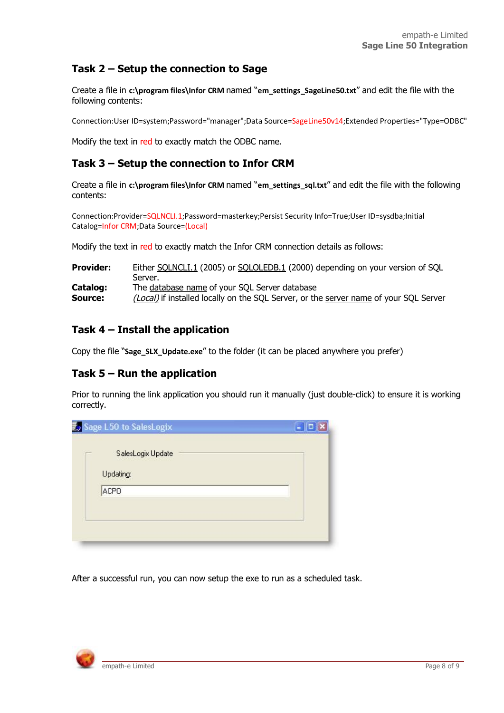### **Task 2 – Setup the connection to Sage**

Create a file in **c:\program files\Infor CRM** named "em settings SageLine50.txt" and edit the file with the following contents:

Connection:User ID=system;Password="manager";Data Source=SageLine50v14;Extended Properties="Type=ODBC"

Modify the text in red to exactly match the ODBC name.

### **Task 3 – Setup the connection to Infor CRM**

Create a file in **c:\program files\Infor CRM** named "**em\_settings\_sql.txt**" and edit the file with the following contents:

Connection:Provider=SQLNCLI.1;Password=masterkey;Persist Security Info=True;User ID=sysdba;Initial Catalog=Infor CRM;Data Source=(Local)

Modify the text in red to exactly match the Infor CRM connection details as follows:

| <b>Provider:</b> | Either SQLNCLI.1 (2005) or SQLOLEDB.1 (2000) depending on your version of SQL         |
|------------------|---------------------------------------------------------------------------------------|
|                  | Server.                                                                               |
| Catalog:         | The database name of your SQL Server database                                         |
| Source:          | (Local) if installed locally on the SQL Server, or the server name of your SQL Server |

#### **Task 4 – Install the application**

Copy the file "**Sage\_SLX\_Update.exe**" to the folder (it can be placed anywhere you prefer)

#### **Task 5 – Run the application**

Prior to running the link application you should run it manually (just double-click) to ensure it is working correctly.

| <b>E</b> Sage L50 to SalesLogix | $-  \Box  $ X |
|---------------------------------|---------------|
| SalesLogix Update               |               |
| Updating:                       |               |
| ACPO <sup></sup>                |               |
|                                 |               |
|                                 |               |
|                                 |               |

After a successful run, you can now setup the exe to run as a scheduled task.